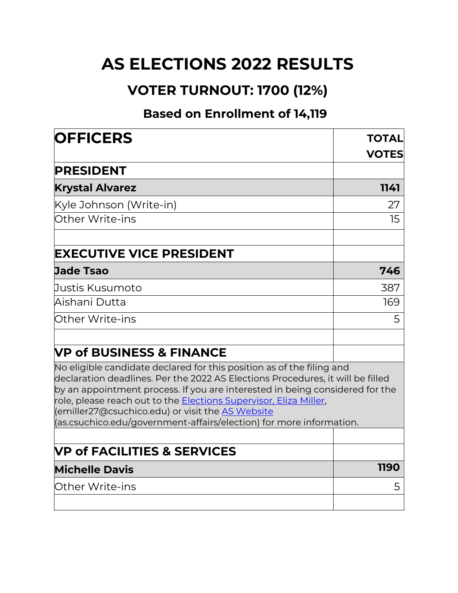## **AS ELECTIONS 2022 RESULTS**

## **VOTER TURNOUT: 1700 (12%)**

## **Based on Enrollment of 14,119**

| <b>OFFICERS</b>                                                                                                                                                                                                                                                                                                                                                                                                                                | <b>TOTAL</b> |  |
|------------------------------------------------------------------------------------------------------------------------------------------------------------------------------------------------------------------------------------------------------------------------------------------------------------------------------------------------------------------------------------------------------------------------------------------------|--------------|--|
|                                                                                                                                                                                                                                                                                                                                                                                                                                                | <b>VOTES</b> |  |
| <b>PRESIDENT</b>                                                                                                                                                                                                                                                                                                                                                                                                                               |              |  |
| <b>Krystal Alvarez</b>                                                                                                                                                                                                                                                                                                                                                                                                                         | 1141         |  |
| Kyle Johnson (Write-in)                                                                                                                                                                                                                                                                                                                                                                                                                        | 27           |  |
| Other Write-ins                                                                                                                                                                                                                                                                                                                                                                                                                                | 15           |  |
| <b>EXECUTIVE VICE PRESIDENT</b>                                                                                                                                                                                                                                                                                                                                                                                                                |              |  |
| <b>Jade Tsao</b>                                                                                                                                                                                                                                                                                                                                                                                                                               | 746          |  |
| Justis Kusumoto                                                                                                                                                                                                                                                                                                                                                                                                                                | 387          |  |
| Aishani Dutta                                                                                                                                                                                                                                                                                                                                                                                                                                  | 169          |  |
| Other Write-ins                                                                                                                                                                                                                                                                                                                                                                                                                                | 5            |  |
| <b>VP of BUSINESS &amp; FINANCE</b>                                                                                                                                                                                                                                                                                                                                                                                                            |              |  |
| No eligible candidate declared for this position as of the filing and<br>declaration deadlines. Per the 2022 AS Elections Procedures, it will be filled<br>by an appointment process. If you are interested in being considered for the<br>role, please reach out to the <u>Elections Supervisor, Eliza Miller,</u><br>(emiller27@csuchico.edu) or visit the AS Website<br>(as.csuchico.edu/government-affairs/election) for more information. |              |  |
|                                                                                                                                                                                                                                                                                                                                                                                                                                                |              |  |
| <b>VP of FACILITIES &amp; SERVICES</b>                                                                                                                                                                                                                                                                                                                                                                                                         |              |  |
| <b>Michelle Davis</b>                                                                                                                                                                                                                                                                                                                                                                                                                          | 1190         |  |
| <b>Other Write-ins</b>                                                                                                                                                                                                                                                                                                                                                                                                                         | 5            |  |
|                                                                                                                                                                                                                                                                                                                                                                                                                                                |              |  |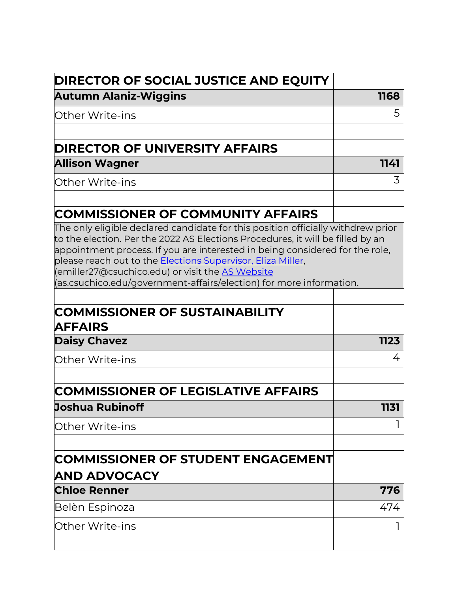| <b>DIRECTOR OF SOCIAL JUSTICE AND EQUITY</b>                                                                                                                                                                                                                                                                                                             |      |
|----------------------------------------------------------------------------------------------------------------------------------------------------------------------------------------------------------------------------------------------------------------------------------------------------------------------------------------------------------|------|
| <b>Autumn Alaniz-Wiggins</b>                                                                                                                                                                                                                                                                                                                             | 1168 |
| Other Write-ins                                                                                                                                                                                                                                                                                                                                          | 5    |
|                                                                                                                                                                                                                                                                                                                                                          |      |
| <b>DIRECTOR OF UNIVERSITY AFFAIRS</b>                                                                                                                                                                                                                                                                                                                    |      |
| <b>Allison Wagner</b>                                                                                                                                                                                                                                                                                                                                    | 1141 |
| Other Write-ins                                                                                                                                                                                                                                                                                                                                          | 3    |
| <b>COMMISSIONER OF COMMUNITY AFFAIRS</b>                                                                                                                                                                                                                                                                                                                 |      |
| The only eligible declared candidate for this position officially withdrew prior                                                                                                                                                                                                                                                                         |      |
| to the election. Per the 2022 AS Elections Procedures, it will be filled by an<br>appointment process. If you are interested in being considered for the role,<br>please reach out to the Elections Supervisor, Eliza Miller,<br>(emiller27@csuchico.edu) or visit the AS Website<br>(as.csuchico.edu/government-affairs/election) for more information. |      |
|                                                                                                                                                                                                                                                                                                                                                          |      |
| <b>COMMISSIONER OF SUSTAINABILITY</b><br><b>AFFAIRS</b>                                                                                                                                                                                                                                                                                                  |      |
| <b>Daisy Chavez</b>                                                                                                                                                                                                                                                                                                                                      | 1123 |
| Other Write-ins                                                                                                                                                                                                                                                                                                                                          | 4    |
| <b>COMMISSIONER OF LEGISLATIVE AFFAIRS</b>                                                                                                                                                                                                                                                                                                               |      |
| <b>Joshua Rubinoff</b>                                                                                                                                                                                                                                                                                                                                   | 1131 |
| <b>Other Write-ins</b>                                                                                                                                                                                                                                                                                                                                   |      |
|                                                                                                                                                                                                                                                                                                                                                          |      |
| <b>COMMISSIONER OF STUDENT ENGAGEMENT</b><br><b>AND ADVOCACY</b>                                                                                                                                                                                                                                                                                         |      |
| <b>Chloe Renner</b>                                                                                                                                                                                                                                                                                                                                      | 776  |
| Belèn Espinoza                                                                                                                                                                                                                                                                                                                                           | 474  |
| Other Write-ins                                                                                                                                                                                                                                                                                                                                          |      |
|                                                                                                                                                                                                                                                                                                                                                          |      |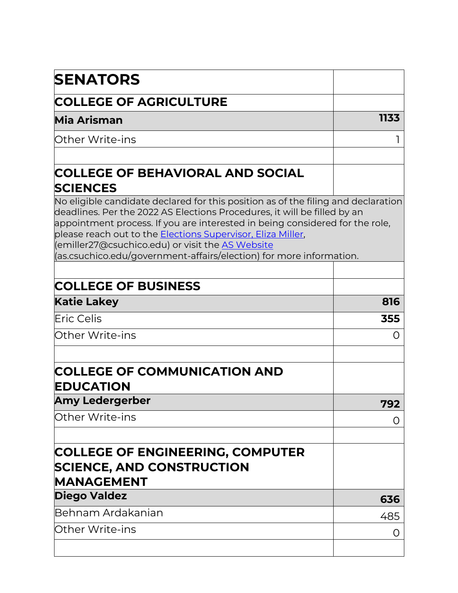| <b>SENATORS</b>                                                                                                                                                                                                                                                                                                                                                                                                                                 |      |
|-------------------------------------------------------------------------------------------------------------------------------------------------------------------------------------------------------------------------------------------------------------------------------------------------------------------------------------------------------------------------------------------------------------------------------------------------|------|
| <b>COLLEGE OF AGRICULTURE</b>                                                                                                                                                                                                                                                                                                                                                                                                                   |      |
| Mia Arisman                                                                                                                                                                                                                                                                                                                                                                                                                                     | 1133 |
| Other Write-ins                                                                                                                                                                                                                                                                                                                                                                                                                                 |      |
| <b>COLLEGE OF BEHAVIORAL AND SOCIAL</b><br><b>SCIENCES</b>                                                                                                                                                                                                                                                                                                                                                                                      |      |
| No eligible candidate declared for this position as of the filing and declaration<br>deadlines. Per the 2022 AS Elections Procedures, it will be filled by an<br>appointment process. If you are interested in being considered for the role,<br>please reach out to the <b>Elections Supervisor, Eliza Miller</b> ,<br>(emiller27@csuchico.edu) or visit the AS Website<br>(as.csuchico.edu/government-affairs/election) for more information. |      |
| <b>COLLEGE OF BUSINESS</b>                                                                                                                                                                                                                                                                                                                                                                                                                      |      |
| <b>Katie Lakey</b>                                                                                                                                                                                                                                                                                                                                                                                                                              | 816  |
| <b>IEric Celis</b>                                                                                                                                                                                                                                                                                                                                                                                                                              | 355  |
| Other Write-ins                                                                                                                                                                                                                                                                                                                                                                                                                                 | O    |
| <b>COLLEGE OF COMMUNICATION AND</b><br><b>EDUCATION</b>                                                                                                                                                                                                                                                                                                                                                                                         |      |
| Amy Ledergerber                                                                                                                                                                                                                                                                                                                                                                                                                                 | 792  |
| Other Write-ins                                                                                                                                                                                                                                                                                                                                                                                                                                 | O    |
| <b>COLLEGE OF ENGINEERING, COMPUTER</b><br><b>SCIENCE, AND CONSTRUCTION</b><br><b>MANAGEMENT</b>                                                                                                                                                                                                                                                                                                                                                |      |
| <b>Diego Valdez</b>                                                                                                                                                                                                                                                                                                                                                                                                                             | 636  |
| lBehnam Ardakanian                                                                                                                                                                                                                                                                                                                                                                                                                              | 485  |
| lOther Write-ins                                                                                                                                                                                                                                                                                                                                                                                                                                | O    |
|                                                                                                                                                                                                                                                                                                                                                                                                                                                 |      |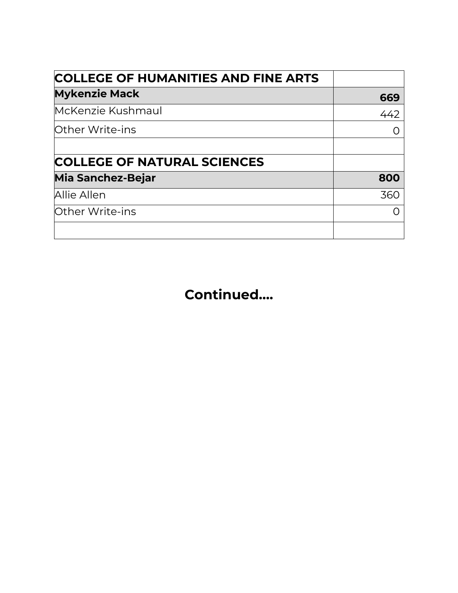| <b>COLLEGE OF HUMANITIES AND FINE ARTS</b> |     |
|--------------------------------------------|-----|
| <b>Mykenzie Mack</b>                       | 669 |
| McKenzie Kushmaul                          | 442 |
| <b>Other Write-ins</b>                     |     |
| <b>COLLEGE OF NATURAL SCIENCES</b>         |     |
| <b>Mia Sanchez-Bejar</b>                   | 800 |
| Allie Allen                                | 360 |
| Other Write-ins                            |     |
|                                            |     |

**Continued….**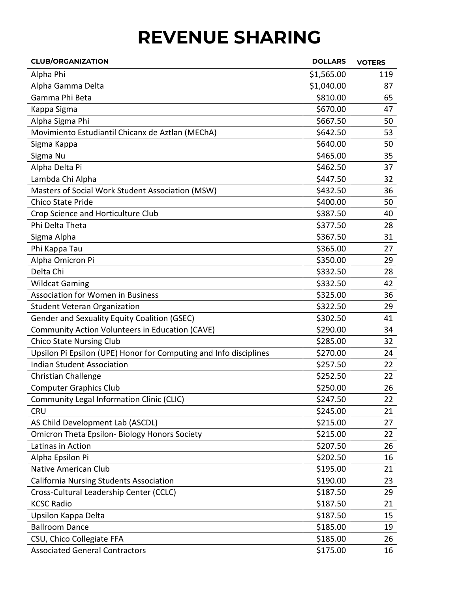## **REVENUE SHARING**

| <b>CLUB/ORGANIZATION</b>                                          | <b>DOLLARS</b> | <b>VOTERS</b> |
|-------------------------------------------------------------------|----------------|---------------|
| Alpha Phi                                                         | \$1,565.00     | 119           |
| Alpha Gamma Delta                                                 | \$1,040.00     | 87            |
| Gamma Phi Beta                                                    | \$810.00       | 65            |
| Kappa Sigma                                                       | \$670.00       | 47            |
| Alpha Sigma Phi                                                   | \$667.50       | 50            |
| Movimiento Estudiantil Chicanx de Aztlan (MEChA)                  | \$642.50       | 53            |
| Sigma Kappa                                                       | \$640.00       | 50            |
| Sigma Nu                                                          | \$465.00       | 35            |
| Alpha Delta Pi                                                    | \$462.50       | 37            |
| Lambda Chi Alpha                                                  | \$447.50       | 32            |
| Masters of Social Work Student Association (MSW)                  | \$432.50       | 36            |
| <b>Chico State Pride</b>                                          | \$400.00       | 50            |
| Crop Science and Horticulture Club                                | \$387.50       | 40            |
| Phi Delta Theta                                                   | \$377.50       | 28            |
| Sigma Alpha                                                       | \$367.50       | 31            |
| Phi Kappa Tau                                                     | \$365.00       | 27            |
| Alpha Omicron Pi                                                  | \$350.00       | 29            |
| Delta Chi                                                         | \$332.50       | 28            |
| <b>Wildcat Gaming</b>                                             | \$332.50       | 42            |
| Association for Women in Business                                 | \$325.00       | 36            |
| <b>Student Veteran Organization</b>                               | \$322.50       | 29            |
| Gender and Sexuality Equity Coalition (GSEC)                      | \$302.50       | 41            |
| Community Action Volunteers in Education (CAVE)                   | \$290.00       | 34            |
| <b>Chico State Nursing Club</b>                                   | \$285.00       | 32            |
| Upsilon Pi Epsilon (UPE) Honor for Computing and Info disciplines | \$270.00       | 24            |
| <b>Indian Student Association</b>                                 | \$257.50       | 22            |
| Christian Challenge                                               | \$252.50       | 22            |
| <b>Computer Graphics Club</b>                                     | \$250.00       | 26            |
| Community Legal Information Clinic (CLIC)                         | \$247.50       | 22            |
| <b>CRU</b>                                                        | \$245.00       | 21            |
| AS Child Development Lab (ASCDL)                                  | \$215.00       | 27            |
| <b>Omicron Theta Epsilon- Biology Honors Society</b>              | \$215.00       | 22            |
| Latinas in Action                                                 | \$207.50       | 26            |
| Alpha Epsilon Pi                                                  | \$202.50       | 16            |
| Native American Club                                              | \$195.00       | 21            |
| California Nursing Students Association                           | \$190.00       | 23            |
| Cross-Cultural Leadership Center (CCLC)                           | \$187.50       | 29            |
| <b>KCSC Radio</b>                                                 | \$187.50       | 21            |
| Upsilon Kappa Delta                                               | \$187.50       | 15            |
| <b>Ballroom Dance</b>                                             | \$185.00       | 19            |
| CSU, Chico Collegiate FFA                                         | \$185.00       | 26            |
| <b>Associated General Contractors</b>                             | \$175.00       | 16            |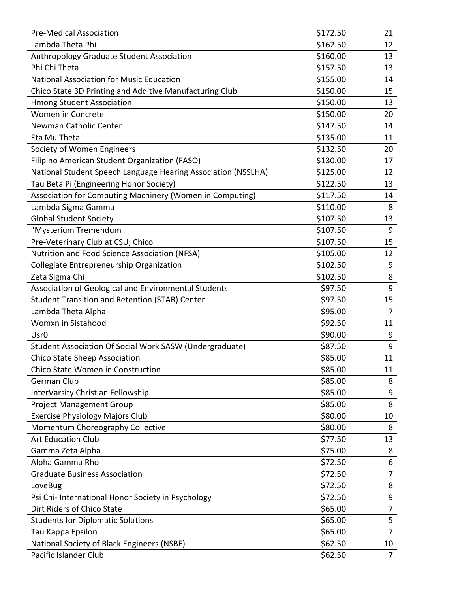| <b>Pre-Medical Association</b>                                | \$172.50 | 21             |
|---------------------------------------------------------------|----------|----------------|
| Lambda Theta Phi                                              | \$162.50 | 12             |
| Anthropology Graduate Student Association                     | \$160.00 | 13             |
| Phi Chi Theta                                                 | \$157.50 | 13             |
| <b>National Association for Music Education</b>               | \$155.00 | 14             |
| Chico State 3D Printing and Additive Manufacturing Club       | \$150.00 | 15             |
| <b>Hmong Student Association</b>                              | \$150.00 | 13             |
| Women in Concrete                                             | \$150.00 | 20             |
| Newman Catholic Center                                        | \$147.50 | 14             |
| Eta Mu Theta                                                  | \$135.00 | 11             |
| Society of Women Engineers                                    | \$132.50 | 20             |
| Filipino American Student Organization (FASO)                 | \$130.00 | 17             |
| National Student Speech Language Hearing Association (NSSLHA) | \$125.00 | 12             |
| Tau Beta Pi (Engineering Honor Society)                       | \$122.50 | 13             |
| Association for Computing Machinery (Women in Computing)      | \$117.50 | 14             |
| Lambda Sigma Gamma                                            | \$110.00 | 8              |
| <b>Global Student Society</b>                                 | \$107.50 | 13             |
| "Mysterium Tremendum                                          | \$107.50 | 9              |
| Pre-Veterinary Club at CSU, Chico                             | \$107.50 | 15             |
| Nutrition and Food Science Association (NFSA)                 | \$105.00 | 12             |
| Collegiate Entrepreneurship Organization                      | \$102.50 | 9              |
| Zeta Sigma Chi                                                | \$102.50 | 8              |
| Association of Geological and Environmental Students          | \$97.50  | 9              |
| <b>Student Transition and Retention (STAR) Center</b>         | \$97.50  | 15             |
| Lambda Theta Alpha                                            | \$95.00  | 7              |
| Womxn in Sistahood                                            | \$92.50  | 11             |
| Usr <sub>0</sub>                                              | \$90.00  | 9              |
| Student Association Of Social Work SASW (Undergraduate)       | \$87.50  | 9              |
| <b>Chico State Sheep Association</b>                          | \$85.00  | 11             |
| Chico State Women in Construction                             | \$85.00  | 11             |
| German Club                                                   | \$85.00  | 8              |
| InterVarsity Christian Fellowship                             | \$85.00  | 9              |
| <b>Project Management Group</b>                               | \$85.00  | 8              |
| <b>Exercise Physiology Majors Club</b>                        | \$80.00  | 10             |
| Momentum Choreography Collective                              | \$80.00  | 8              |
| <b>Art Education Club</b>                                     | \$77.50  | 13             |
| Gamma Zeta Alpha                                              | \$75.00  | 8              |
| Alpha Gamma Rho                                               | \$72.50  | 6              |
| <b>Graduate Business Association</b>                          | \$72.50  | 7              |
| LoveBug                                                       | \$72.50  | 8              |
| Psi Chi- International Honor Society in Psychology            | \$72.50  | 9              |
| Dirt Riders of Chico State                                    | \$65.00  | $\overline{7}$ |
| <b>Students for Diplomatic Solutions</b>                      | \$65.00  | 5              |
| Tau Kappa Epsilon                                             | \$65.00  | $\overline{7}$ |
| National Society of Black Engineers (NSBE)                    | \$62.50  | 10             |
| Pacific Islander Club                                         | \$62.50  | $\overline{7}$ |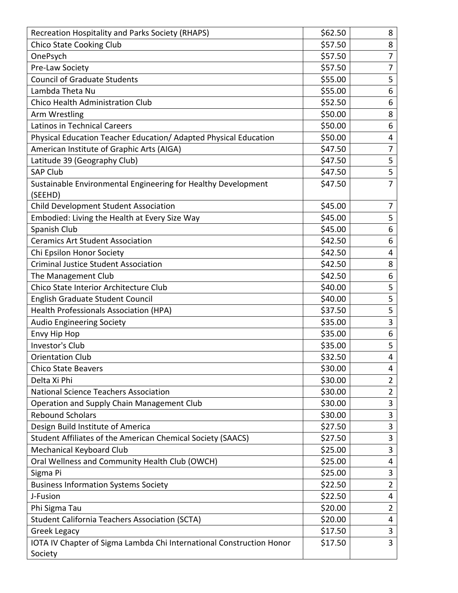| Recreation Hospitality and Parks Society (RHAPS)                         | \$62.50 | 8              |
|--------------------------------------------------------------------------|---------|----------------|
| <b>Chico State Cooking Club</b>                                          | \$57.50 | 8              |
| OnePsych                                                                 | \$57.50 | 7              |
| Pre-Law Society                                                          | \$57.50 | $\overline{7}$ |
| <b>Council of Graduate Students</b>                                      | \$55.00 | 5              |
| Lambda Theta Nu                                                          | \$55.00 | 6              |
| Chico Health Administration Club                                         | \$52.50 | 6              |
| Arm Wrestling                                                            | \$50.00 | 8              |
| Latinos in Technical Careers                                             | \$50.00 | 6              |
| Physical Education Teacher Education/ Adapted Physical Education         | \$50.00 | 4              |
| American Institute of Graphic Arts (AIGA)                                | \$47.50 | 7              |
| Latitude 39 (Geography Club)                                             | \$47.50 | 5              |
| <b>SAP Club</b>                                                          | \$47.50 | 5              |
| Sustainable Environmental Engineering for Healthy Development<br>(SEEHD) | \$47.50 | 7              |
| Child Development Student Association                                    | \$45.00 | 7              |
| Embodied: Living the Health at Every Size Way                            | \$45.00 | 5              |
| Spanish Club                                                             | \$45.00 | 6              |
| <b>Ceramics Art Student Association</b>                                  | \$42.50 | 6              |
| Chi Epsilon Honor Society                                                | \$42.50 | 4              |
| <b>Criminal Justice Student Association</b>                              | \$42.50 | 8              |
| The Management Club                                                      | \$42.50 | 6              |
| Chico State Interior Architecture Club                                   | \$40.00 | 5              |
| English Graduate Student Council                                         | \$40.00 | 5              |
| Health Professionals Association (HPA)                                   | \$37.50 | 5              |
| <b>Audio Engineering Society</b>                                         | \$35.00 | 3              |
| Envy Hip Hop                                                             | \$35.00 | 6              |
| Investor's Club                                                          | \$35.00 | 5              |
| <b>Orientation Club</b>                                                  | \$32.50 | 4              |
| <b>Chico State Beavers</b>                                               | \$30.00 | 4              |
| Delta Xi Phi                                                             | \$30.00 | $\overline{2}$ |
| <b>National Science Teachers Association</b>                             | \$30.00 | $\overline{2}$ |
| Operation and Supply Chain Management Club                               | \$30.00 | 3              |
| <b>Rebound Scholars</b>                                                  | \$30.00 | 3              |
| Design Build Institute of America                                        | \$27.50 | 3              |
| Student Affiliates of the American Chemical Society (SAACS)              | \$27.50 | 3              |
| Mechanical Keyboard Club                                                 | \$25.00 | 3              |
| Oral Wellness and Community Health Club (OWCH)                           | \$25.00 | 4              |
| Sigma Pi                                                                 | \$25.00 | 3              |
| <b>Business Information Systems Society</b>                              | \$22.50 | $\overline{2}$ |
| J-Fusion                                                                 | \$22.50 | 4              |
| Phi Sigma Tau                                                            | \$20.00 | $\overline{2}$ |
| <b>Student California Teachers Association (SCTA)</b>                    | \$20.00 | 4              |
| Greek Legacy                                                             | \$17.50 | 3              |
| IOTA IV Chapter of Sigma Lambda Chi International Construction Honor     | \$17.50 | 3              |
| Society                                                                  |         |                |